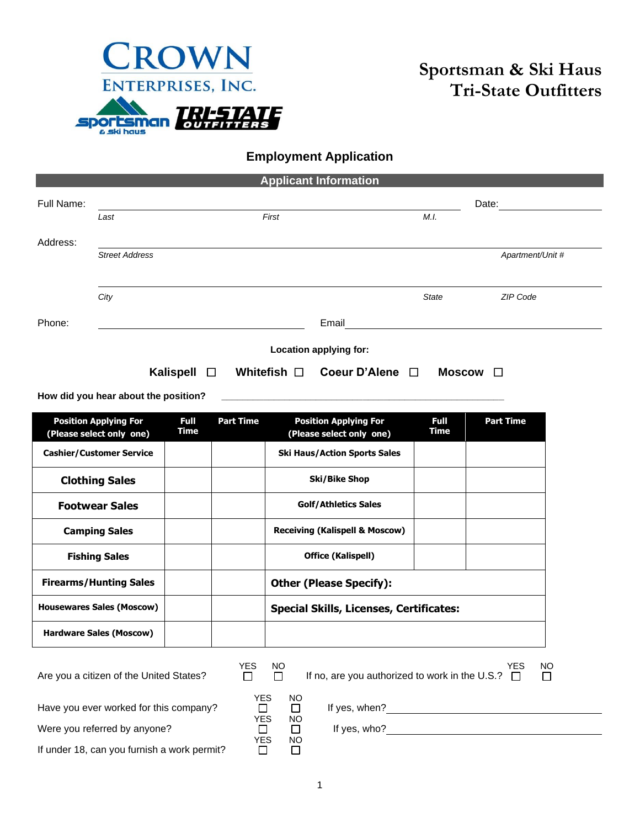

## **Sportsman & Ski Haus Tri-State Outfitters**

## **Employment Application**

|                                                                                    |                                         |                     |                  |                                           | <b>Applicant Information</b>                          |             |                  |  |  |  |  |
|------------------------------------------------------------------------------------|-----------------------------------------|---------------------|------------------|-------------------------------------------|-------------------------------------------------------|-------------|------------------|--|--|--|--|
| Full Name:                                                                         |                                         |                     |                  |                                           |                                                       |             | Date:            |  |  |  |  |
|                                                                                    | Last                                    |                     |                  | First                                     |                                                       | M.I.        |                  |  |  |  |  |
| Address:                                                                           |                                         |                     |                  |                                           |                                                       |             |                  |  |  |  |  |
|                                                                                    | <b>Street Address</b>                   |                     |                  |                                           |                                                       |             | Apartment/Unit # |  |  |  |  |
|                                                                                    |                                         |                     |                  |                                           |                                                       |             |                  |  |  |  |  |
|                                                                                    | City                                    |                     |                  |                                           |                                                       | State       | ZIP Code         |  |  |  |  |
| Phone:                                                                             |                                         |                     |                  |                                           | Email                                                 |             |                  |  |  |  |  |
|                                                                                    | <b>Location applying for:</b>           |                     |                  |                                           |                                                       |             |                  |  |  |  |  |
|                                                                                    |                                         |                     |                  |                                           |                                                       |             |                  |  |  |  |  |
|                                                                                    |                                         | Kalispell<br>□      |                  | Whitefish $\Box$                          | Coeur D'Alene □                                       |             | Moscow $\square$ |  |  |  |  |
|                                                                                    | How did you hear about the position?    |                     |                  |                                           |                                                       |             |                  |  |  |  |  |
|                                                                                    | <b>Position Applying For</b>            | Full<br><b>Time</b> | <b>Part Time</b> |                                           | <b>Position Applying For</b>                          | <b>Full</b> | <b>Part Time</b> |  |  |  |  |
|                                                                                    | (Please select only one)                |                     |                  |                                           | (Please select only one)                              | Time        |                  |  |  |  |  |
|                                                                                    | <b>Cashier/Customer Service</b>         |                     |                  |                                           | <b>Ski Haus/Action Sports Sales</b>                   |             |                  |  |  |  |  |
| <b>Clothing Sales</b>                                                              |                                         |                     |                  | <b>Ski/Bike Shop</b>                      |                                                       |             |                  |  |  |  |  |
| <b>Footwear Sales</b>                                                              |                                         |                     |                  | <b>Golf/Athletics Sales</b>               |                                                       |             |                  |  |  |  |  |
| <b>Camping Sales</b>                                                               |                                         |                     |                  | <b>Receiving (Kalispell &amp; Moscow)</b> |                                                       |             |                  |  |  |  |  |
|                                                                                    |                                         |                     |                  |                                           |                                                       |             |                  |  |  |  |  |
|                                                                                    | <b>Fishing Sales</b>                    |                     |                  |                                           | <b>Office (Kalispell)</b>                             |             |                  |  |  |  |  |
|                                                                                    | <b>Firearms/Hunting Sales</b>           |                     |                  |                                           | <b>Other (Please Specify):</b>                        |             |                  |  |  |  |  |
| <b>Housewares Sales (Moscow)</b><br><b>Special Skills, Licenses, Certificates:</b> |                                         |                     |                  |                                           |                                                       |             |                  |  |  |  |  |
|                                                                                    | <b>Hardware Sales (Moscow)</b>          |                     |                  |                                           |                                                       |             |                  |  |  |  |  |
|                                                                                    |                                         |                     |                  |                                           |                                                       |             |                  |  |  |  |  |
|                                                                                    | Are you a citizen of the United States? |                     | <b>YES</b><br>П  | <b>NO</b><br>$\Box$                       | If no, are you authorized to work in the U.S.? $\Box$ |             | YES<br>NO<br>П   |  |  |  |  |
|                                                                                    |                                         |                     | <b>YES</b>       | NO                                        |                                                       |             |                  |  |  |  |  |
|                                                                                    | Have you ever worked for this company?  |                     | $\mathbf{I}$     | П                                         | If yes, when?                                         |             |                  |  |  |  |  |

Have you ever worked for this company?

Were you referred by anyone?

If under 18, can you furnish a work permit?

If yes, who?

YES NO

YES NO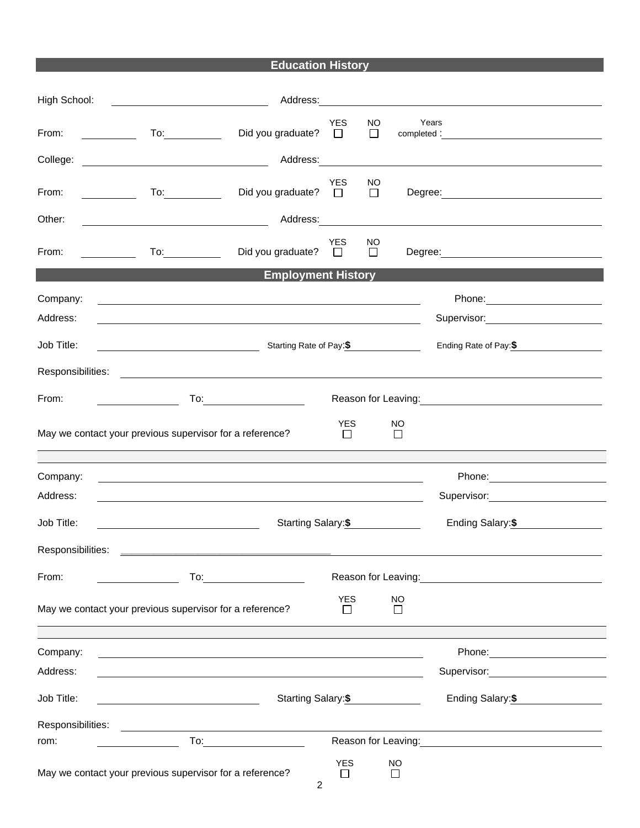## **Education History**

| High School:          | <u> The Communication of the Communication</u>                                                                                                                                                                                                                                              |                      |               |                           |                                                                                                                                                                                                                                |
|-----------------------|---------------------------------------------------------------------------------------------------------------------------------------------------------------------------------------------------------------------------------------------------------------------------------------------|----------------------|---------------|---------------------------|--------------------------------------------------------------------------------------------------------------------------------------------------------------------------------------------------------------------------------|
| From: $\qquad \qquad$ | Did you graduate? $\square$                                                                                                                                                                                                                                                                 | YES                  | NO.<br>$\Box$ | Years                     |                                                                                                                                                                                                                                |
|                       |                                                                                                                                                                                                                                                                                             |                      |               |                           |                                                                                                                                                                                                                                |
| From:                 | Did you graduate? $\Box$<br><u> a shekara ta 1999 a shekara t</u>                                                                                                                                                                                                                           | YES                  | NO<br>$\Box$  |                           | Degree: <u>_______________________________</u>                                                                                                                                                                                 |
| Other:                |                                                                                                                                                                                                                                                                                             |                      |               |                           |                                                                                                                                                                                                                                |
| From:                 | Did you graduate? $\Box$ $\Box$<br>To:_____________<br><u>and the state of the state of the state of the state of the state of the state of the state of the state of the state of the state of the state of the state of the state of the state of the state of the state of the state</u> | <b>YES</b>           | NO.           |                           |                                                                                                                                                                                                                                |
|                       | <b>Employment History</b>                                                                                                                                                                                                                                                                   |                      |               |                           |                                                                                                                                                                                                                                |
| Company:<br>Address:  | <u> 1989 - Johann Stoff, amerikansk politiker (* 1908)</u><br>the control of the control of the control of the control of the control of the control of the control of the control of the control of the control of the control of the control of the control of the control of the control |                      |               |                           | Supervisor: Victor Control of Control Control Control Control Control Control Control Control Control Control Co                                                                                                               |
| Job Title:            | Starting Rate of Pay: \$                                                                                                                                                                                                                                                                    |                      |               |                           | Ending Rate of Pay: \$                                                                                                                                                                                                         |
|                       |                                                                                                                                                                                                                                                                                             |                      |               |                           |                                                                                                                                                                                                                                |
| From:                 | <u> 1990 - John Barn Barn, amerikansk politiker</u>                                                                                                                                                                                                                                         |                      |               |                           | Reason for Leaving: Management Control of Reason for Leaving:                                                                                                                                                                  |
|                       | May we contact your previous supervisor for a reference?                                                                                                                                                                                                                                    | <b>YES</b><br>$\Box$ |               | <b>NO</b><br>$\Box$       |                                                                                                                                                                                                                                |
| Company:              |                                                                                                                                                                                                                                                                                             |                      |               |                           |                                                                                                                                                                                                                                |
| Address:              | <u> 1989 - Johann Stoff, deutscher Stoffen und der Stoffen und der Stoffen und der Stoffen und der Stoffen und der</u>                                                                                                                                                                      |                      |               |                           | Supervisor: Victor Control of Control Control Control Control Control Control Control Control Control Control Co                                                                                                               |
| Job Title:            | Starting Salary: \$<br><u> 1989 - Johann Barnett, fransk politiker (d. 19</u>                                                                                                                                                                                                               |                      |               |                           | Ending Salary: \$                                                                                                                                                                                                              |
| Responsibilities:     |                                                                                                                                                                                                                                                                                             |                      |               |                           |                                                                                                                                                                                                                                |
| From:                 | To:                                                                                                                                                                                                                                                                                         |                      |               |                           | Reason for Leaving: Note and the set of the set of the set of the set of the set of the set of the set of the set of the set of the set of the set of the set of the set of the set of the set of the set of the set of the se |
|                       | May we contact your previous supervisor for a reference?                                                                                                                                                                                                                                    | <b>YES</b>           |               | <b>NO</b><br>$\mathsf{L}$ |                                                                                                                                                                                                                                |
| Company:              |                                                                                                                                                                                                                                                                                             |                      |               |                           |                                                                                                                                                                                                                                |
| Address:              |                                                                                                                                                                                                                                                                                             |                      |               |                           | Supervisor:<br><u> 1980 - Jan Jawa Barat, prima pro</u>                                                                                                                                                                        |
| Job Title:            | Starting Salary: \$                                                                                                                                                                                                                                                                         |                      |               |                           | Ending Salary: \$                                                                                                                                                                                                              |
| Responsibilities:     |                                                                                                                                                                                                                                                                                             |                      |               |                           |                                                                                                                                                                                                                                |
| rom:                  | To: the contract of the contract of the contract of the contract of the contract of the contract of the contract of the contract of the contract of the contract of the contract of the contract of the contract of the contra                                                              |                      |               |                           | Reason for Leaving:<br><u> Leason</u> for Leaving:                                                                                                                                                                             |
|                       | May we contact your previous supervisor for a reference?                                                                                                                                                                                                                                    | <b>YES</b><br>ப      |               | NO<br>□                   |                                                                                                                                                                                                                                |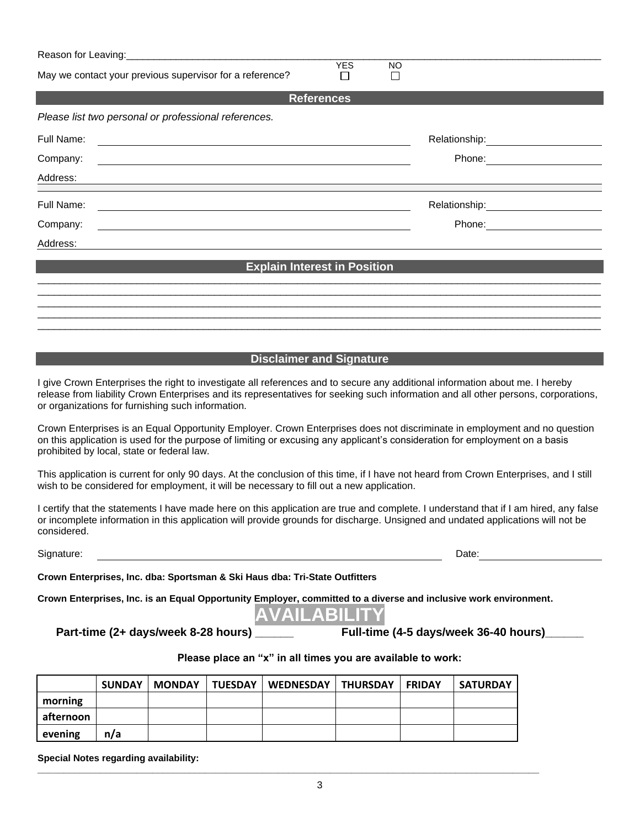|                                                   |               | Please list two personal or professional references. |                |                                                                                                                                         |                 |               |                                       |                                                                                                                                                                                                                                |
|---------------------------------------------------|---------------|------------------------------------------------------|----------------|-----------------------------------------------------------------------------------------------------------------------------------------|-----------------|---------------|---------------------------------------|--------------------------------------------------------------------------------------------------------------------------------------------------------------------------------------------------------------------------------|
| Full Name:                                        |               |                                                      |                |                                                                                                                                         |                 |               |                                       |                                                                                                                                                                                                                                |
| Company:                                          |               |                                                      |                | <u> 1980 - John Stein, marking and de Britain (b. 1980)</u>                                                                             |                 |               |                                       | Phone: The Communication of the Communication of the Communication of the Communication of the Communication of the Communication of the Communication of the Communication of the Communication of the Communication of the C |
| Address:                                          |               |                                                      |                |                                                                                                                                         |                 |               |                                       |                                                                                                                                                                                                                                |
| Full Name:                                        |               |                                                      |                |                                                                                                                                         |                 |               |                                       | Relationship: Note and the set of the set of the set of the set of the set of the set of the set of the set of the set of the set of the set of the set of the set of the set of the set of the set of the set of the set of t |
| Company:                                          |               |                                                      |                | <u> 1980 - Jan Stein Stein Stein Stein Stein Stein Stein Stein Stein Stein Stein Stein Stein Stein Stein Stein S</u>                    |                 |               |                                       | Phone: The contract of the contract of the contract of the contract of the contract of the contract of the contract of the contract of the contract of the contract of the contract of the contract of the contract of the con |
| Address:                                          |               |                                                      |                |                                                                                                                                         |                 |               |                                       |                                                                                                                                                                                                                                |
|                                                   |               |                                                      |                | <b>Explain Interest in Position</b>                                                                                                     |                 |               |                                       |                                                                                                                                                                                                                                |
|                                                   |               |                                                      |                |                                                                                                                                         |                 |               |                                       |                                                                                                                                                                                                                                |
|                                                   |               |                                                      |                |                                                                                                                                         |                 |               |                                       |                                                                                                                                                                                                                                |
|                                                   |               |                                                      |                |                                                                                                                                         |                 |               |                                       |                                                                                                                                                                                                                                |
|                                                   |               |                                                      |                |                                                                                                                                         |                 |               |                                       |                                                                                                                                                                                                                                |
|                                                   |               |                                                      |                | <b>Disclaimer and Signature</b>                                                                                                         |                 |               |                                       |                                                                                                                                                                                                                                |
| or organizations for furnishing such information. |               |                                                      |                | I give Crown Enterprises the right to investigate all references and to secure any additional information about me. I hereby            |                 |               |                                       | release from liability Crown Enterprises and its representatives for seeking such information and all other persons, corporations,                                                                                             |
| prohibited by local, state or federal law.        |               |                                                      |                | on this application is used for the purpose of limiting or excusing any applicant's consideration for employment on a basis             |                 |               |                                       | Crown Enterprises is an Equal Opportunity Employer. Crown Enterprises does not discriminate in employment and no question                                                                                                      |
|                                                   |               |                                                      |                | wish to be considered for employment, it will be necessary to fill out a new application.                                               |                 |               |                                       | This application is current for only 90 days. At the conclusion of this time, if I have not heard from Crown Enterprises, and I still                                                                                          |
| considered.                                       |               |                                                      |                | or incomplete information in this application will provide grounds for discharge. Unsigned and undated applications will not be         |                 |               |                                       | I certify that the statements I have made here on this application are true and complete. I understand that if I am hired, any false                                                                                           |
| Signature:<br>Date:                               |               |                                                      |                |                                                                                                                                         |                 |               |                                       |                                                                                                                                                                                                                                |
|                                                   |               |                                                      |                | Crown Enterprises, Inc. dba: Sportsman & Ski Haus dba: Tri-State Outfitters                                                             |                 |               |                                       |                                                                                                                                                                                                                                |
|                                                   |               |                                                      |                | Crown Enterprises, Inc. is an Equal Opportunity Employer, committed to a diverse and inclusive work environment.<br><b>AVAILABILITY</b> |                 |               |                                       |                                                                                                                                                                                                                                |
|                                                   |               | Part-time (2+ days/week 8-28 hours)                  |                |                                                                                                                                         |                 |               | Full-time (4-5 days/week 36-40 hours) |                                                                                                                                                                                                                                |
|                                                   |               |                                                      |                | Please place an "x" in all times you are available to work:                                                                             |                 |               |                                       |                                                                                                                                                                                                                                |
|                                                   | <b>SUNDAY</b> | <b>MONDAY</b>                                        | <b>TUESDAY</b> | <b>WEDNESDAY</b>                                                                                                                        | <b>THURSDAY</b> | <b>FRIDAY</b> | <b>SATURDAY</b>                       |                                                                                                                                                                                                                                |
| morning                                           |               |                                                      |                |                                                                                                                                         |                 |               |                                       |                                                                                                                                                                                                                                |
| afternoon                                         |               |                                                      |                |                                                                                                                                         |                 |               |                                       |                                                                                                                                                                                                                                |
| evening                                           | n/a           |                                                      |                |                                                                                                                                         |                 |               |                                       |                                                                                                                                                                                                                                |
| Special Notes regarding availability:             |               |                                                      |                |                                                                                                                                         |                 |               |                                       |                                                                                                                                                                                                                                |
|                                                   |               |                                                      |                | 3                                                                                                                                       |                 |               |                                       |                                                                                                                                                                                                                                |

 $YES$ 

**References**

Reason for Leaving:<br>May we contact your previous supervisor for a reference?  $\square$ 

May we contact your previous supervisor for a reference?

## 3